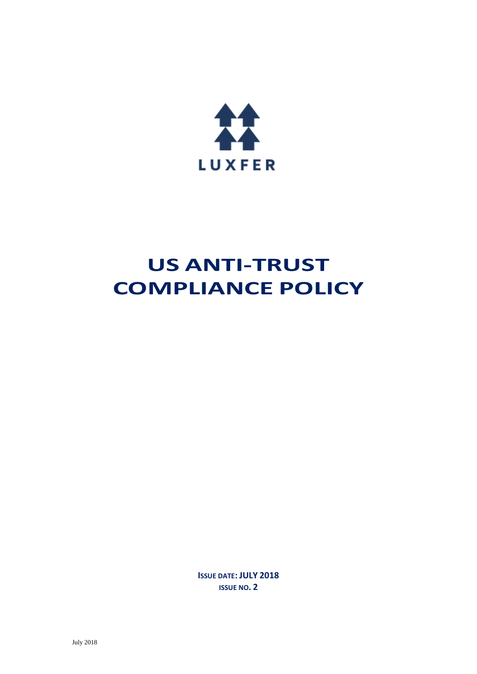

# **US ANTI-TRUST COMPLIANCE POLICY**

**ISSUE DATE: JULY 2018 ISSUE NO. 2**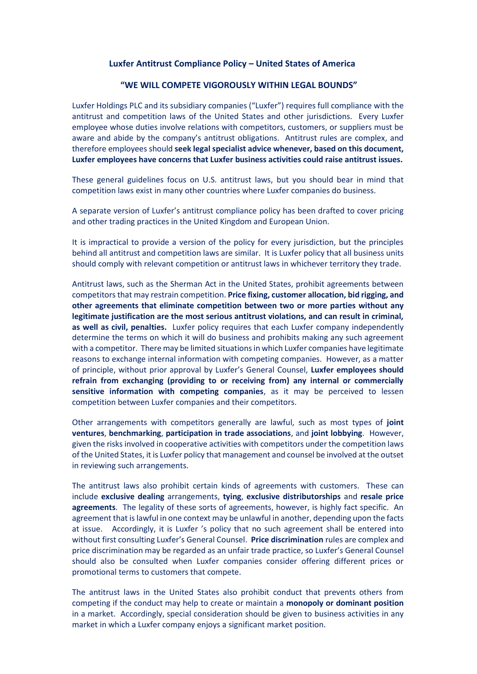#### **Luxfer Antitrust Compliance Policy – United States of America**

#### **"WE WILL COMPETE VIGOROUSLY WITHIN LEGAL BOUNDS"**

Luxfer Holdings PLC and its subsidiary companies ("Luxfer") requires full compliance with the antitrust and competition laws of the United States and other jurisdictions. Every Luxfer employee whose duties involve relations with competitors, customers, or suppliers must be aware and abide by the company's antitrust obligations. Antitrust rules are complex, and therefore employees should **seek legal specialist advice whenever, based on this document, Luxfer employees have concerns that Luxfer business activities could raise antitrust issues.**

These general guidelines focus on U.S. antitrust laws, but you should bear in mind that competition laws exist in many other countries where Luxfer companies do business.

A separate version of Luxfer's antitrust compliance policy has been drafted to cover pricing and other trading practices in the United Kingdom and European Union.

It is impractical to provide a version of the policy for every jurisdiction, but the principles behind all antitrust and competition laws are similar. It is Luxfer policy that all business units should comply with relevant competition or antitrust laws in whichever territory they trade.

Antitrust laws, such as the Sherman Act in the United States, prohibit agreements between competitorsthat may restrain competition. **Price fixing, customer allocation, bid rigging, and other agreements that eliminate competition between two or more parties without any legitimate justification are the most serious antitrust violations, and can result in criminal, as well as civil, penalties.** Luxfer policy requires that each Luxfer company independently determine the terms on which it will do business and prohibits making any such agreement with a competitor. There may be limited situations in which Luxfer companies have legitimate reasons to exchange internal information with competing companies. However, as a matter of principle, without prior approval by Luxfer's General Counsel, **Luxfer employees should refrain from exchanging (providing to or receiving from) any internal or commercially sensitive information with competing companies**, as it may be perceived to lessen competition between Luxfer companies and their competitors.

Other arrangements with competitors generally are lawful, such as most types of **joint ventures**, **benchmarking**, **participation in trade associations**, and **joint lobbying**. However, given the risks involved in cooperative activities with competitors under the competition laws of the United States, it is Luxfer policy that management and counsel be involved at the outset in reviewing such arrangements.

The antitrust laws also prohibit certain kinds of agreements with customers. These can include **exclusive dealing** arrangements, **tying**, **exclusive distributorships** and **resale price agreements**. The legality of these sorts of agreements, however, is highly fact specific. An agreement that is lawful in one context may be unlawful in another, depending upon the facts at issue. Accordingly, it is Luxfer 's policy that no such agreement shall be entered into without first consulting Luxfer's General Counsel. **Price discrimination** rules are complex and price discrimination may be regarded as an unfair trade practice, so Luxfer's General Counsel should also be consulted when Luxfer companies consider offering different prices or promotional terms to customers that compete.

The antitrust laws in the United States also prohibit conduct that prevents others from competing if the conduct may help to create or maintain a **monopoly or dominant position** in a market. Accordingly, special consideration should be given to business activities in any market in which a Luxfer company enjoys a significant market position.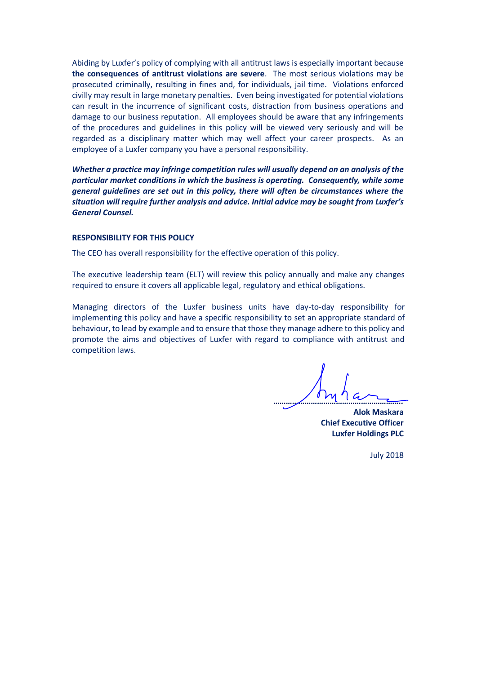Abiding by Luxfer's policy of complying with all antitrust laws is especially important because **the consequences of antitrust violations are severe**. The most serious violations may be prosecuted criminally, resulting in fines and, for individuals, jail time. Violations enforced civilly may result in large monetary penalties. Even being investigated for potential violations can result in the incurrence of significant costs, distraction from business operations and damage to our business reputation. All employees should be aware that any infringements of the procedures and guidelines in this policy will be viewed very seriously and will be regarded as a disciplinary matter which may well affect your career prospects. As an employee of a Luxfer company you have a personal responsibility.

*Whether a practice may infringe competition rules will usually depend on an analysis of the particular market conditions in which the business is operating. Consequently, while some general guidelines are set out in this policy, there will often be circumstances where the situation will require further analysis and advice. Initial advice may be sought from Luxfer's General Counsel.*

#### **RESPONSIBILITY FOR THIS POLICY**

The CEO has overall responsibility for the effective operation of this policy.

The executive leadership team (ELT) will review this policy annually and make any changes required to ensure it covers all applicable legal, regulatory and ethical obligations.

Managing directors of the Luxfer business units have day-to-day responsibility for implementing this policy and have a specific responsibility to set an appropriate standard of behaviour, to lead by example and to ensure that those they manage adhere to this policy and promote the aims and objectives of Luxfer with regard to compliance with antitrust and competition laws.

*……………………………………………………..*

**Alok Maskara Chief Executive Officer Luxfer Holdings PLC**

July 2018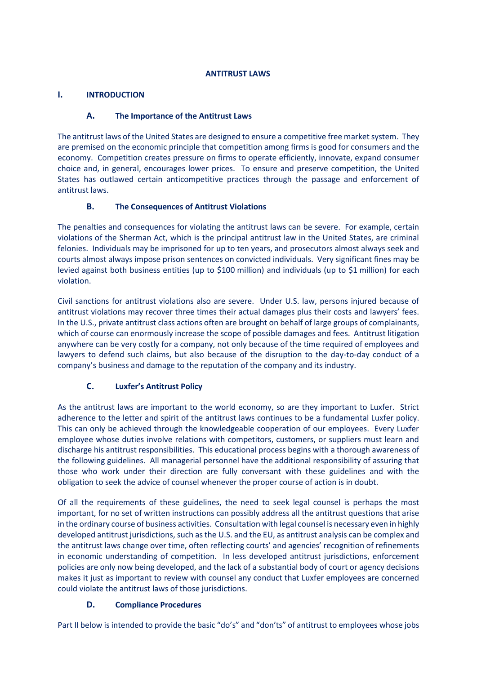## **ANTITRUST LAWS**

## **I. INTRODUCTION**

#### **A. The Importance of the Antitrust Laws**

The antitrust laws of the United States are designed to ensure a competitive free market system. They are premised on the economic principle that competition among firms is good for consumers and the economy. Competition creates pressure on firms to operate efficiently, innovate, expand consumer choice and, in general, encourages lower prices. To ensure and preserve competition, the United States has outlawed certain anticompetitive practices through the passage and enforcement of antitrust laws.

## **B. The Consequences of Antitrust Violations**

The penalties and consequences for violating the antitrust laws can be severe. For example, certain violations of the Sherman Act, which is the principal antitrust law in the United States, are criminal felonies. Individuals may be imprisoned for up to ten years, and prosecutors almost always seek and courts almost always impose prison sentences on convicted individuals. Very significant fines may be levied against both business entities (up to \$100 million) and individuals (up to \$1 million) for each violation.

Civil sanctions for antitrust violations also are severe. Under U.S. law, persons injured because of antitrust violations may recover three times their actual damages plus their costs and lawyers' fees. In the U.S., private antitrust class actions often are brought on behalf of large groups of complainants, which of course can enormously increase the scope of possible damages and fees. Antitrust litigation anywhere can be very costly for a company, not only because of the time required of employees and lawyers to defend such claims, but also because of the disruption to the day-to-day conduct of a company's business and damage to the reputation of the company and its industry.

# **C. Luxfer's Antitrust Policy**

As the antitrust laws are important to the world economy, so are they important to Luxfer. Strict adherence to the letter and spirit of the antitrust laws continues to be a fundamental Luxfer policy. This can only be achieved through the knowledgeable cooperation of our employees. Every Luxfer employee whose duties involve relations with competitors, customers, or suppliers must learn and discharge his antitrust responsibilities. This educational process begins with a thorough awareness of the following guidelines. All managerial personnel have the additional responsibility of assuring that those who work under their direction are fully conversant with these guidelines and with the obligation to seek the advice of counsel whenever the proper course of action is in doubt.

Of all the requirements of these guidelines, the need to seek legal counsel is perhaps the most important, for no set of written instructions can possibly address all the antitrust questions that arise in the ordinary course of business activities. Consultation with legal counsel is necessary even in highly developed antitrust jurisdictions, such as the U.S. and the EU, as antitrust analysis can be complex and the antitrust laws change over time, often reflecting courts' and agencies' recognition of refinements in economic understanding of competition. In less developed antitrust jurisdictions, enforcement policies are only now being developed, and the lack of a substantial body of court or agency decisions makes it just as important to review with counsel any conduct that Luxfer employees are concerned could violate the antitrust laws of those jurisdictions.

## **D. Compliance Procedures**

Part II below is intended to provide the basic "do's" and "don'ts" of antitrust to employees whose jobs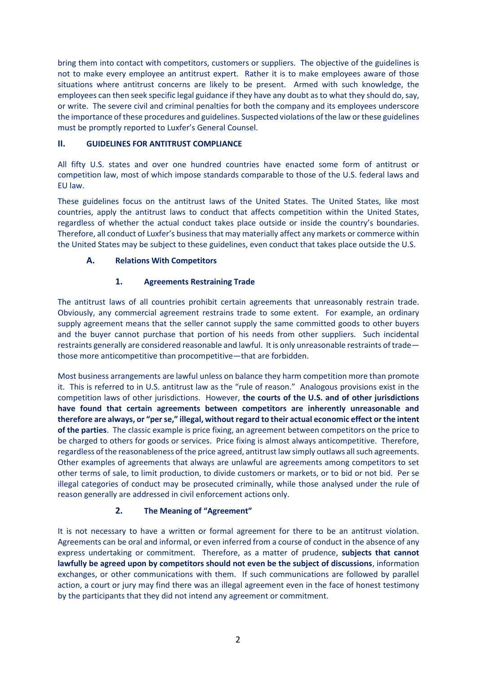bring them into contact with competitors, customers or suppliers. The objective of the guidelines is not to make every employee an antitrust expert. Rather it is to make employees aware of those situations where antitrust concerns are likely to be present. Armed with such knowledge, the employees can then seek specific legal guidance if they have any doubt as to what they should do, say, or write. The severe civil and criminal penalties for both the company and its employees underscore the importance of these procedures and guidelines. Suspected violations of the law or these guidelines must be promptly reported to Luxfer's General Counsel.

#### **II. GUIDELINES FOR ANTITRUST COMPLIANCE**

All fifty U.S. states and over one hundred countries have enacted some form of antitrust or competition law, most of which impose standards comparable to those of the U.S. federal laws and EU law.

These guidelines focus on the antitrust laws of the United States. The United States, like most countries, apply the antitrust laws to conduct that affects competition within the United States, regardless of whether the actual conduct takes place outside or inside the country's boundaries. Therefore, all conduct of Luxfer's business that may materially affect any markets or commerce within the United States may be subject to these guidelines, even conduct that takes place outside the U.S.

# **A. Relations With Competitors**

## **1. Agreements Restraining Trade**

The antitrust laws of all countries prohibit certain agreements that unreasonably restrain trade. Obviously, any commercial agreement restrains trade to some extent. For example, an ordinary supply agreement means that the seller cannot supply the same committed goods to other buyers and the buyer cannot purchase that portion of his needs from other suppliers. Such incidental restraints generally are considered reasonable and lawful. It is only unreasonable restraints of trade those more anticompetitive than procompetitive—that are forbidden.

Most business arrangements are lawful unless on balance they harm competition more than promote it. This is referred to in U.S. antitrust law as the "rule of reason." Analogous provisions exist in the competition laws of other jurisdictions. However, **the courts of the U.S. and of other jurisdictions have found that certain agreements between competitors are inherently unreasonable and therefore are always, or "per se," illegal, without regard to their actual economic effect or the intent of the parties**. The classic example is price fixing, an agreement between competitors on the price to be charged to others for goods or services. Price fixing is almost always anticompetitive. Therefore, regardless of the reasonableness of the price agreed, antitrust law simply outlaws all such agreements. Other examples of agreements that always are unlawful are agreements among competitors to set other terms of sale, to limit production, to divide customers or markets, or to bid or not bid. Per se illegal categories of conduct may be prosecuted criminally, while those analysed under the rule of reason generally are addressed in civil enforcement actions only.

## **2. The Meaning of "Agreement"**

It is not necessary to have a written or formal agreement for there to be an antitrust violation. Agreements can be oral and informal, or even inferred from a course of conduct in the absence of any express undertaking or commitment. Therefore, as a matter of prudence, **subjects that cannot lawfully be agreed upon by competitors should not even be the subject of discussions**, information exchanges, or other communications with them. If such communications are followed by parallel action, a court or jury may find there was an illegal agreement even in the face of honest testimony by the participants that they did not intend any agreement or commitment.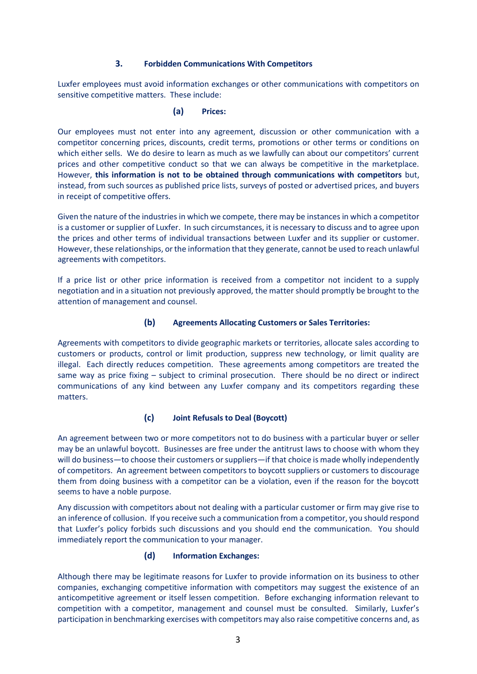#### **3. Forbidden Communications With Competitors**

Luxfer employees must avoid information exchanges or other communications with competitors on sensitive competitive matters. These include:

#### **(a) Prices:**

Our employees must not enter into any agreement, discussion or other communication with a competitor concerning prices, discounts, credit terms, promotions or other terms or conditions on which either sells. We do desire to learn as much as we lawfully can about our competitors' current prices and other competitive conduct so that we can always be competitive in the marketplace. However, **this information is not to be obtained through communications with competitors** but, instead, from such sources as published price lists, surveys of posted or advertised prices, and buyers in receipt of competitive offers.

Given the nature of the industries in which we compete, there may be instances in which a competitor is a customer or supplier of Luxfer. In such circumstances, it is necessary to discuss and to agree upon the prices and other terms of individual transactions between Luxfer and its supplier or customer. However, these relationships, or the information that they generate, cannot be used to reach unlawful agreements with competitors.

If a price list or other price information is received from a competitor not incident to a supply negotiation and in a situation not previously approved, the matter should promptly be brought to the attention of management and counsel.

#### **(b) Agreements Allocating Customers or Sales Territories:**

Agreements with competitors to divide geographic markets or territories, allocate sales according to customers or products, control or limit production, suppress new technology, or limit quality are illegal. Each directly reduces competition. These agreements among competitors are treated the same way as price fixing – subject to criminal prosecution. There should be no direct or indirect communications of any kind between any Luxfer company and its competitors regarding these matters.

#### **(c) Joint Refusals to Deal (Boycott)**

An agreement between two or more competitors not to do business with a particular buyer or seller may be an unlawful boycott. Businesses are free under the antitrust laws to choose with whom they will do business—to choose their customers or suppliers—if that choice is made wholly independently of competitors. An agreement between competitors to boycott suppliers or customers to discourage them from doing business with a competitor can be a violation, even if the reason for the boycott seems to have a noble purpose.

Any discussion with competitors about not dealing with a particular customer or firm may give rise to an inference of collusion. If you receive such a communication from a competitor, you should respond that Luxfer's policy forbids such discussions and you should end the communication. You should immediately report the communication to your manager.

#### **(d) Information Exchanges:**

Although there may be legitimate reasons for Luxfer to provide information on its business to other companies, exchanging competitive information with competitors may suggest the existence of an anticompetitive agreement or itself lessen competition. Before exchanging information relevant to competition with a competitor, management and counsel must be consulted. Similarly, Luxfer's participation in benchmarking exercises with competitors may also raise competitive concerns and, as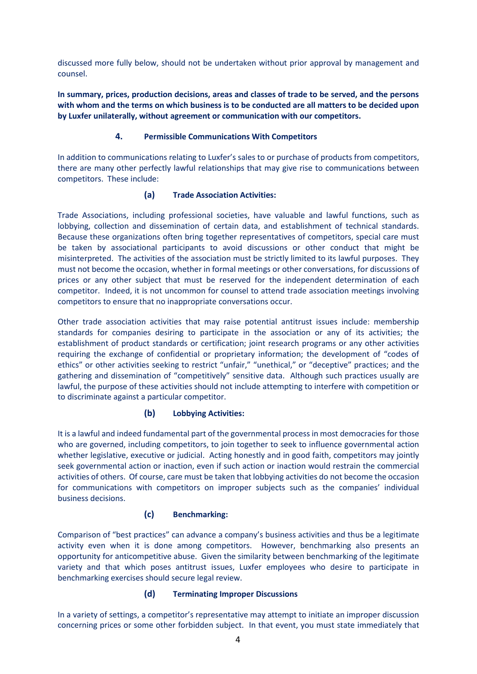discussed more fully below, should not be undertaken without prior approval by management and counsel.

**In summary, prices, production decisions, areas and classes of trade to be served, and the persons with whom and the terms on which business is to be conducted are all matters to be decided upon by Luxfer unilaterally, without agreement or communication with our competitors.**

#### **4. Permissible Communications With Competitors**

In addition to communications relating to Luxfer's sales to or purchase of products from competitors, there are many other perfectly lawful relationships that may give rise to communications between competitors. These include:

## **(a) Trade Association Activities:**

Trade Associations, including professional societies, have valuable and lawful functions, such as lobbying, collection and dissemination of certain data, and establishment of technical standards. Because these organizations often bring together representatives of competitors, special care must be taken by associational participants to avoid discussions or other conduct that might be misinterpreted. The activities of the association must be strictly limited to its lawful purposes. They must not become the occasion, whether in formal meetings or other conversations, for discussions of prices or any other subject that must be reserved for the independent determination of each competitor. Indeed, it is not uncommon for counsel to attend trade association meetings involving competitors to ensure that no inappropriate conversations occur.

Other trade association activities that may raise potential antitrust issues include: membership standards for companies desiring to participate in the association or any of its activities; the establishment of product standards or certification; joint research programs or any other activities requiring the exchange of confidential or proprietary information; the development of "codes of ethics" or other activities seeking to restrict "unfair," "unethical," or "deceptive" practices; and the gathering and dissemination of "competitively" sensitive data. Although such practices usually are lawful, the purpose of these activities should not include attempting to interfere with competition or to discriminate against a particular competitor.

## **(b) Lobbying Activities:**

It is a lawful and indeed fundamental part of the governmental process in most democracies for those who are governed, including competitors, to join together to seek to influence governmental action whether legislative, executive or judicial. Acting honestly and in good faith, competitors may jointly seek governmental action or inaction, even if such action or inaction would restrain the commercial activities of others. Of course, care must be taken that lobbying activities do not become the occasion for communications with competitors on improper subjects such as the companies' individual business decisions.

## **(c) Benchmarking:**

Comparison of "best practices" can advance a company's business activities and thus be a legitimate activity even when it is done among competitors. However, benchmarking also presents an opportunity for anticompetitive abuse. Given the similarity between benchmarking of the legitimate variety and that which poses antitrust issues, Luxfer employees who desire to participate in benchmarking exercises should secure legal review.

#### **(d) Terminating Improper Discussions**

In a variety of settings, a competitor's representative may attempt to initiate an improper discussion concerning prices or some other forbidden subject. In that event, you must state immediately that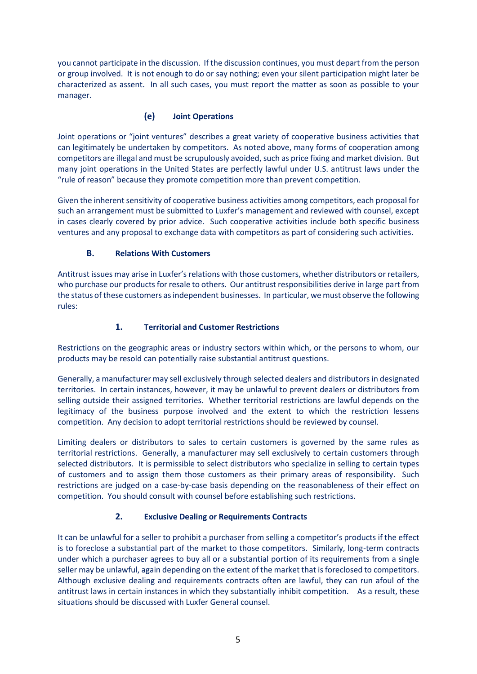you cannot participate in the discussion. If the discussion continues, you must depart from the person or group involved. It is not enough to do or say nothing; even your silent participation might later be characterized as assent. In all such cases, you must report the matter as soon as possible to your manager.

## **(e) Joint Operations**

Joint operations or "joint ventures" describes a great variety of cooperative business activities that can legitimately be undertaken by competitors. As noted above, many forms of cooperation among competitors are illegal and must be scrupulously avoided, such as price fixing and market division. But many joint operations in the United States are perfectly lawful under U.S. antitrust laws under the "rule of reason" because they promote competition more than prevent competition.

Given the inherent sensitivity of cooperative business activities among competitors, each proposal for such an arrangement must be submitted to Luxfer's management and reviewed with counsel, except in cases clearly covered by prior advice. Such cooperative activities include both specific business ventures and any proposal to exchange data with competitors as part of considering such activities.

# **B. Relations With Customers**

Antitrust issues may arise in Luxfer's relations with those customers, whether distributors or retailers, who purchase our products for resale to others. Our antitrust responsibilities derive in large part from the status of these customers as independent businesses. In particular, we must observe the following rules:

# **1. Territorial and Customer Restrictions**

Restrictions on the geographic areas or industry sectors within which, or the persons to whom, our products may be resold can potentially raise substantial antitrust questions.

Generally, a manufacturer may sell exclusively through selected dealers and distributors in designated territories. In certain instances, however, it may be unlawful to prevent dealers or distributors from selling outside their assigned territories. Whether territorial restrictions are lawful depends on the legitimacy of the business purpose involved and the extent to which the restriction lessens competition. Any decision to adopt territorial restrictions should be reviewed by counsel.

Limiting dealers or distributors to sales to certain customers is governed by the same rules as territorial restrictions. Generally, a manufacturer may sell exclusively to certain customers through selected distributors. It is permissible to select distributors who specialize in selling to certain types of customers and to assign them those customers as their primary areas of responsibility. Such restrictions are judged on a case-by-case basis depending on the reasonableness of their effect on competition. You should consult with counsel before establishing such restrictions.

# **2. Exclusive Dealing or Requirements Contracts**

It can be unlawful for a seller to prohibit a purchaser from selling a competitor's products if the effect is to foreclose a substantial part of the market to those competitors. Similarly, long-term contracts under which a purchaser agrees to buy all or a substantial portion of its requirements from a single seller may be unlawful, again depending on the extent of the market that is foreclosed to competitors. Although exclusive dealing and requirements contracts often are lawful, they can run afoul of the antitrust laws in certain instances in which they substantially inhibit competition. As a result, these situations should be discussed with Luxfer General counsel.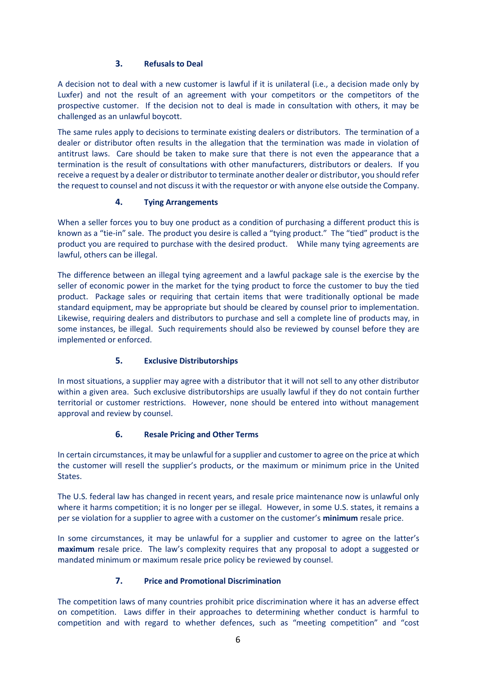## **3. Refusals to Deal**

A decision not to deal with a new customer is lawful if it is unilateral (i.e., a decision made only by Luxfer) and not the result of an agreement with your competitors or the competitors of the prospective customer. If the decision not to deal is made in consultation with others, it may be challenged as an unlawful boycott.

The same rules apply to decisions to terminate existing dealers or distributors. The termination of a dealer or distributor often results in the allegation that the termination was made in violation of antitrust laws. Care should be taken to make sure that there is not even the appearance that a termination is the result of consultations with other manufacturers, distributors or dealers. If you receive a request by a dealer or distributor to terminate another dealer or distributor, you should refer the request to counsel and not discuss it with the requestor or with anyone else outside the Company.

# **4. Tying Arrangements**

When a seller forces you to buy one product as a condition of purchasing a different product this is known as a "tie-in" sale. The product you desire is called a "tying product." The "tied" product is the product you are required to purchase with the desired product. While many tying agreements are lawful, others can be illegal.

The difference between an illegal tying agreement and a lawful package sale is the exercise by the seller of economic power in the market for the tying product to force the customer to buy the tied product. Package sales or requiring that certain items that were traditionally optional be made standard equipment, may be appropriate but should be cleared by counsel prior to implementation. Likewise, requiring dealers and distributors to purchase and sell a complete line of products may, in some instances, be illegal. Such requirements should also be reviewed by counsel before they are implemented or enforced.

# **5. Exclusive Distributorships**

In most situations, a supplier may agree with a distributor that it will not sell to any other distributor within a given area. Such exclusive distributorships are usually lawful if they do not contain further territorial or customer restrictions. However, none should be entered into without management approval and review by counsel.

# **6. Resale Pricing and Other Terms**

In certain circumstances, it may be unlawful for a supplier and customer to agree on the price at which the customer will resell the supplier's products, or the maximum or minimum price in the United States.

The U.S. federal law has changed in recent years, and resale price maintenance now is unlawful only where it harms competition; it is no longer per se illegal. However, in some U.S. states, it remains a per se violation for a supplier to agree with a customer on the customer's **minimum** resale price.

In some circumstances, it may be unlawful for a supplier and customer to agree on the latter's **maximum** resale price. The law's complexity requires that any proposal to adopt a suggested or mandated minimum or maximum resale price policy be reviewed by counsel.

# **7. Price and Promotional Discrimination**

The competition laws of many countries prohibit price discrimination where it has an adverse effect on competition. Laws differ in their approaches to determining whether conduct is harmful to competition and with regard to whether defences, such as "meeting competition" and "cost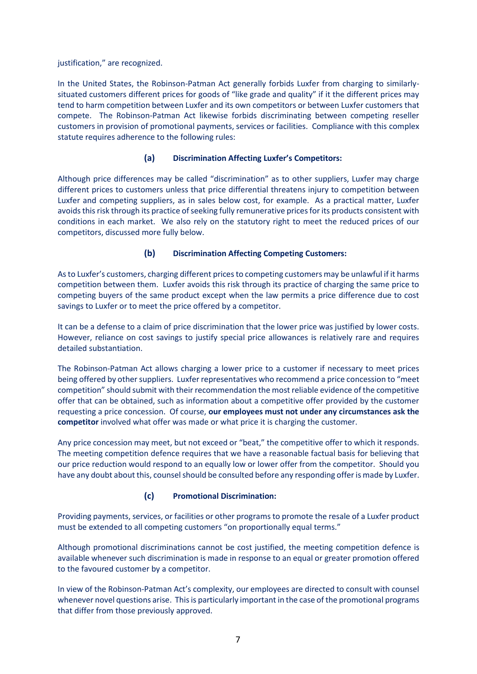justification," are recognized.

In the United States, the Robinson-Patman Act generally forbids Luxfer from charging to similarlysituated customers different prices for goods of "like grade and quality" if it the different prices may tend to harm competition between Luxfer and its own competitors or between Luxfer customers that compete. The Robinson-Patman Act likewise forbids discriminating between competing reseller customers in provision of promotional payments, services or facilities. Compliance with this complex statute requires adherence to the following rules:

## **(a) Discrimination Affecting Luxfer's Competitors:**

Although price differences may be called "discrimination" as to other suppliers, Luxfer may charge different prices to customers unless that price differential threatens injury to competition between Luxfer and competing suppliers, as in sales below cost, for example. As a practical matter, Luxfer avoids this risk through its practice of seeking fully remunerative prices for its products consistent with conditions in each market. We also rely on the statutory right to meet the reduced prices of our competitors, discussed more fully below.

# **(b) Discrimination Affecting Competing Customers:**

As to Luxfer's customers, charging different prices to competing customers may be unlawful if it harms competition between them. Luxfer avoids this risk through its practice of charging the same price to competing buyers of the same product except when the law permits a price difference due to cost savings to Luxfer or to meet the price offered by a competitor.

It can be a defense to a claim of price discrimination that the lower price was justified by lower costs. However, reliance on cost savings to justify special price allowances is relatively rare and requires detailed substantiation.

The Robinson-Patman Act allows charging a lower price to a customer if necessary to meet prices being offered by other suppliers. Luxfer representatives who recommend a price concession to "meet competition" should submit with their recommendation the most reliable evidence of the competitive offer that can be obtained, such as information about a competitive offer provided by the customer requesting a price concession. Of course, **our employees must not under any circumstances ask the competitor** involved what offer was made or what price it is charging the customer.

Any price concession may meet, but not exceed or "beat," the competitive offer to which it responds. The meeting competition defence requires that we have a reasonable factual basis for believing that our price reduction would respond to an equally low or lower offer from the competitor. Should you have any doubt about this, counsel should be consulted before any responding offer is made by Luxfer.

## **(c) Promotional Discrimination:**

Providing payments, services, or facilities or other programs to promote the resale of a Luxfer product must be extended to all competing customers "on proportionally equal terms."

Although promotional discriminations cannot be cost justified, the meeting competition defence is available whenever such discrimination is made in response to an equal or greater promotion offered to the favoured customer by a competitor.

In view of the Robinson-Patman Act's complexity, our employees are directed to consult with counsel whenever novel questions arise. This is particularly important in the case of the promotional programs that differ from those previously approved.